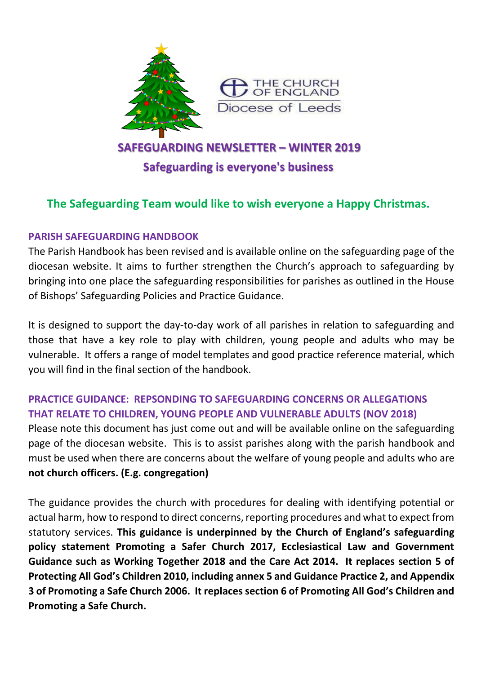

# **SAFEGUARDING NEWSLETTER – WINTER 2019 Safeguarding is everyone's business**

# **The Safeguarding Team would like to wish everyone a Happy Christmas.**

### **PARISH SAFEGUARDING HANDBOOK**

The Parish Handbook has been revised and is available online on the safeguarding page of the diocesan website. It aims to further strengthen the Church's approach to safeguarding by bringing into one place the safeguarding responsibilities for parishes as outlined in the House of Bishops' Safeguarding Policies and Practice Guidance.

It is designed to support the day-to-day work of all parishes in relation to safeguarding and those that have a key role to play with children, young people and adults who may be vulnerable. It offers a range of model templates and good practice reference material, which you will find in the final section of the handbook.

## **PRACTICE GUIDANCE: REPSONDING TO SAFEGUARDING CONCERNS OR ALLEGATIONS THAT RELATE TO CHILDREN, YOUNG PEOPLE AND VULNERABLE ADULTS (NOV 2018)**

Please note this document has just come out and will be available online on the safeguarding page of the diocesan website. This is to assist parishes along with the parish handbook and must be used when there are concerns about the welfare of young people and adults who are **not church officers. (E.g. congregation)**

The guidance provides the church with procedures for dealing with identifying potential or actual harm, how to respond to direct concerns, reporting procedures and what to expect from statutory services. **This guidance is underpinned by the Church of England's safeguarding policy statement Promoting a Safer Church 2017, Ecclesiastical Law and Government Guidance such as Working Together 2018 and the Care Act 2014. It replaces section 5 of Protecting All God's Children 2010, including annex 5 and Guidance Practice 2, and Appendix 3 of Promoting a Safe Church 2006. It replaces section 6 of Promoting All God's Children and Promoting a Safe Church.**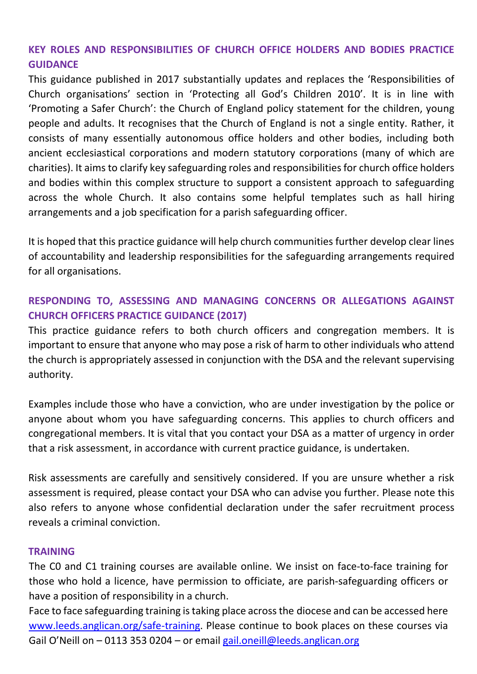# **KEY ROLES AND RESPONSIBILITIES OF CHURCH OFFICE HOLDERS AND BODIES PRACTICE GUIDANCE**

This guidance published in 2017 substantially updates and replaces the 'Responsibilities of Church organisations' section in 'Protecting all God's Children 2010'. It is in line with 'Promoting a Safer Church': the Church of England policy statement for the children, young people and adults. It recognises that the Church of England is not a single entity. Rather, it consists of many essentially autonomous office holders and other bodies, including both ancient ecclesiastical corporations and modern statutory corporations (many of which are charities). It aims to clarify key safeguarding roles and responsibilities for church office holders and bodies within this complex structure to support a consistent approach to safeguarding across the whole Church. It also contains some helpful templates such as hall hiring arrangements and a job specification for a parish safeguarding officer.

It is hoped that this practice guidance will help church communities further develop clear lines of accountability and leadership responsibilities for the safeguarding arrangements required for all organisations.

# **RESPONDING TO, ASSESSING AND MANAGING CONCERNS OR ALLEGATIONS AGAINST CHURCH OFFICERS PRACTICE GUIDANCE (2017)**

This practice guidance refers to both church officers and congregation members. It is important to ensure that anyone who may pose a risk of harm to other individuals who attend the church is appropriately assessed in conjunction with the DSA and the relevant supervising authority.

Examples include those who have a conviction, who are under investigation by the police or anyone about whom you have safeguarding concerns. This applies to church officers and congregational members. It is vital that you contact your DSA as a matter of urgency in order that a risk assessment, in accordance with current practice guidance, is undertaken.

Risk assessments are carefully and sensitively considered. If you are unsure whether a risk assessment is required, please contact your DSA who can advise you further. Please note this also refers to anyone whose confidential declaration under the safer recruitment process reveals a criminal conviction.

#### **TRAINING**

The C0 and C1 training courses are available online. We insist on face-to-face training for those who hold a licence, have permission to officiate, are parish-safeguarding officers or have a position of responsibility in a church.

Face to face safeguarding training is taking place across the diocese and can be accessed here [www.leeds.anglican.org/safe-training.](http://www.leeds.anglican.org/safe-training) Please continue to book places on these courses via Gail O'Neill on – 0113 353 0204 – or email gail.oneill@leeds.anglican.org